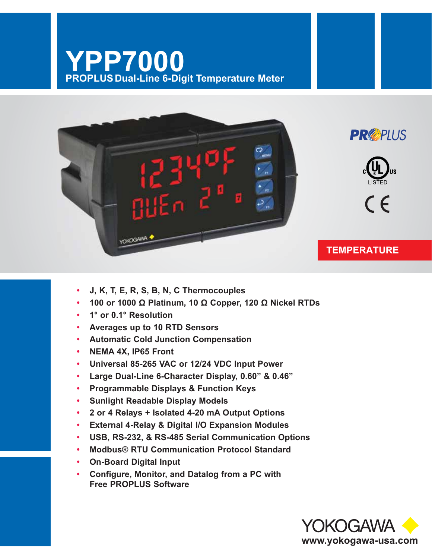# YPP7000<br>PROPLUS Dual-Line 6-Digit Temperature Meter



- J, K, T, E, R, S, B, N, C Thermocouples
- 100 or 1000  $\Omega$  Platinum, 10  $\Omega$  Copper, 120  $\Omega$  Nickel RTDs
- 1° or 0.1° Resolution
- Averages up to 10 RTD Sensors
- Automatic Cold Junction Compensation
- NEMA 4X. IP65 Front
- Universal 85-265 VAC or 12/24 VDC Input Power  $\bullet$
- $\bullet$ Large Dual-Line 6-Character Display, 0.60" & 0.46"
- **Programmable Displays & Function Keys**  $\bullet$
- **Sunlight Readable Display Models**  $\bullet$
- 2 or 4 Relays + Isolated 4-20 mA Output Options  $\bullet$
- **External 4-Relay & Digital I/O Expansion Modules**  $\bullet$
- USB, RS-232, & RS-485 Serial Communication Options  $\bullet$
- Modbus® RTU Communication Protocol Standard
- On-Board Digital Input
- Configure, Monitor, and Datalog from a PC with  $\bullet$ **Free PROPLUS Software**

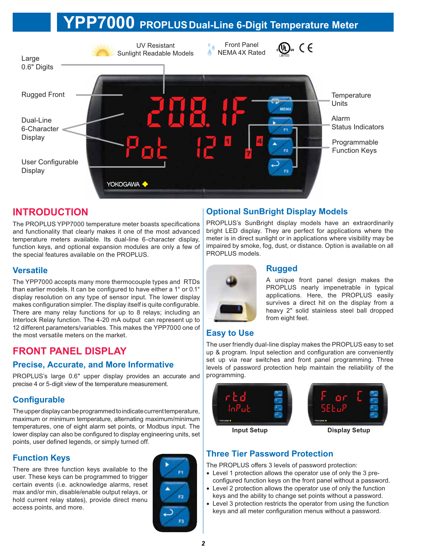# P7000 PROPLUS Dual-Line 6-Digit Temperature Meter



# **INTRODUCTION**

The PROPLUS YPP7000 temperature meter boasts specifications and functionality that clearly makes it one of the most advanced temperature meters available. Its dual-line 6-character display, function keys, and optional expansion modules are only a few of the special features available on the PROPLUS.

#### **Versatile**

The YPP7000 accepts many more thermocouple types and RTDs than earlier models. It can be configured to have either a 1° or 0.1° display resolution on any type of sensor input. The lower display makes configuration simpler. The display itself is quite configurable. There are many relay functions for up to 8 relays; including an Interlock Relay function. The 4-20 mA output can represent up to 12 different parameters/variables. This makes the YPP7000 one of the most versatile meters on the market.

# **FRONT PANEL DISPLAY**

#### **Precise, Accurate, and More Informative**

PROPLUS's large 0.6" upper display provides an accurate and precise 4 or 5-digit view of the temperature measurement.

#### **Configurable**

The upper display can be programmed to indicate current temperature, maximum or minimum temperature, alternating maximum/minimum temperatures, one of eight alarm set points, or Modbus input. The lower display can also be configured to display engineering units, set points, user defined legends, or simply turned off.

#### **Function Keys**

There are three function keys available to the user. These keys can be programmed to trigger certain events (i.e. acknowledge alarms, reset max and/or min, disable/enable output relays, or hold current relay states), provide direct menu access points, and more.



#### **Optional SunBright Display Models**

PROPLUS's SunBright display models have an extraordinarily bright LED display. They are perfect for applications where the meter is in direct sunlight or in applications where visibility may be impaired by smoke, fog. dust, or distance. Option is available on all PROPLUS models.



#### **Rugged**

A unique front panel design makes the PROPLUS nearly impenetrable in typical applications. Here, the PROPLUS easily survives a direct hit on the display from a heavy 2" solid stainless steel ball dropped from eight feet.

## **Easy to Use**

The user friendly dual-line display makes the PROPLUS easy to set up & program. Input selection and configuration are conveniently set up via rear switches and front panel programming. Three levels of password protection help maintain the reliability of the programming.



#### **Three Tier Password Protection**

The PROPLUS offers 3 levels of password protection:

- Level 1 protection allows the operator use of only the 3 preconfigured function keys on the front panel without a password.
- Level 2 protection allows the operator use of only the function keys and the ability to change set points without a password.
- Level 3 protection restricts the operator from using the function keys and all meter configuration menus without a password.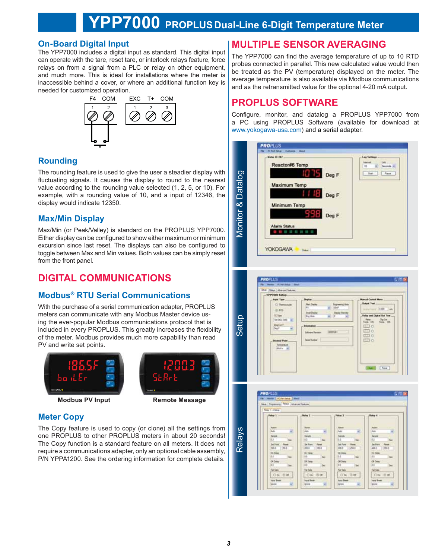# YPP7000 PROPLUS Dual-Line 6-Digit Temperature Meter

Monitor & Datal

#### **On-Board Digital Input**

The YPP7000 includes a digital input as standard. This digital input can operate with the tare, reset tare, or interlock relays feature, force relays on from a signal from a PLC or relay on other equipment, and much more. This is ideal for installations where the meter is inaccessible behind a cover, or where an additional function key is needed for customized operation.



#### **Rounding**

The rounding feature is used to give the user a steadier display with fluctuating signals. It causes the display to round to the nearest value according to the rounding value selected (1, 2, 5, or 10). For example, with a rounding value of 10, and a input of 12346, the display would indicate 12350.

#### **Max/Min Display**

Max/Min (or Peak/Valley) is standard on the PROPLUS YPP7000. Either display can be configured to show either maximum or minimum excursion since last reset. The displays can also be configured to toggle between Max and Min values. Both values can be simply reset from the front panel.

# **DIGITAL COMMUNICATIONS**

## **Modbus<sup>®</sup> RTU Serial Communications**

With the purchase of a serial communication adapter, PROPLUS meters can communicate with any Modbus Master device using the ever-popular Modbus communications protocol that is included in every PROPLUS. This greatly increases the flexibility of the meter. Modbus provides much more capability than read PV and write set points.



**Modbus PV Input** 



**Remote Message** 

#### **Meter Copy**

The Copy feature is used to copy (or clone) all the settings from one PROPLUS to other PROPLUS meters in about 20 seconds! The Copy function is a standard feature on all meters. It does not require a communications adapter, only an optional cable assembly, P/N YPPA1200. See the ordering information for complete details.

# **MULTIPLE SENSOR AVERAGING**

The YPP7000 can find the average temperature of up to 10 RTD probes connected in parallel. This new calculated value would then be treated as the PV (temperature) displayed on the meter. The average temperature is also available via Modbus communications and as the retransmitted value for the optional 4-20 mA output.

# **PROPLUS SOFTWARE**

Configure, monitor, and datalog a PROPLUS YPP7000 from a PC using PROPLUS Software (available for download at www.yokogawa-usa.com) and a serial adapter.

| Mutes ID 247<br>Reactor#6 Temp              | Log Settings<br><b><i><u>Internal</u></i></b><br>they.<br>15<br><b>Secondale</b> |
|---------------------------------------------|----------------------------------------------------------------------------------|
| Deg F                                       | $-700$<br>Pass                                                                   |
| Maximum Temp                                |                                                                                  |
| A 18<br>Deg F                               |                                                                                  |
| Minimum Temp                                |                                                                                  |
| 996<br>Deg F                                |                                                                                  |
| <b>Alarm Status</b><br><b># # # # # # #</b> |                                                                                  |
|                                             |                                                                                  |



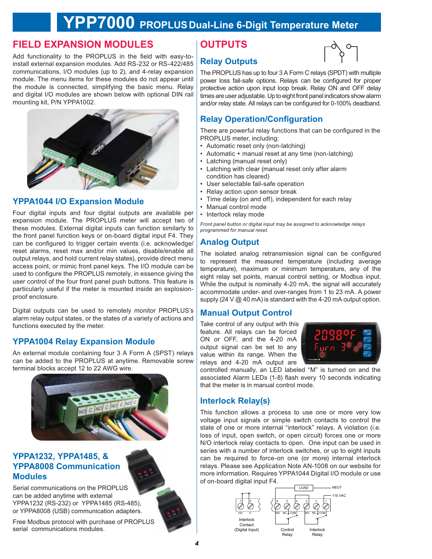# PP7000 PROPLUS Dual-Line 6-Digit Temperature Meter

# **FIELD EXPANSION MODULES**

Add functionality to the PROPLUS in the field with easy-toinstall external expansion modules. Add RS-232 or RS-422/485 communications, I/O modules (up to 2), and 4-relay expansion module. The menu items for these modules do not appear until the module is connected, simplifying the basic menu. Relay and digital I/O modules are shown below with optional DIN rail mounting kit, P/N YPPA1002.



#### **YPPA1044 I/O Expansion Module**

Four digital inputs and four digital outputs are available per expansion module. The PROPLUS meter will accept two of these modules. External digital inputs can function similarly to the front panel function keys or on-board digital input F4. They can be configured to trigger certain events (i.e. acknowledge/ reset alarms, reset max and/or min values, disable/enable all output relays, and hold current relay states), provide direct menu access point, or mimic front panel keys. The I/O module can be used to configure the PROPLUS remotely, in essence giving the user control of the four front panel push buttons. This feature is particularly useful if the meter is mounted inside an explosionproof enclosure.

Digital outputs can be used to remotely monitor PROPLUS's alarm relay output states, or the states of a variety of actions and functions executed by the meter.

#### **YPPA1004 Relay Expansion Module**

An external module containing four 3 A Form A (SPST) relays can be added to the PROPLUS at anytime. Removable screw terminal blocks accept 12 to 22 AWG wire.



#### **YPPA1232, YPPA1485, & YPPA8008 Communication Modules**

Serial communications on the PROPLUS can be added anytime with external YPPA1232 (RS-232) or YPPA1485 (RS-485), or YPPA8008 (USB) communication adapters.

Free Modbus protocol with purchase of PROPLUS serial communications modules.

# **OUTPUTS**



#### **Relay Outputs**

The PROPLUS has up to four 3 A Form C relays (SPDT) with multiple power loss fail-safe options. Relays can be configured for proper protective action upon input loop break. Relay ON and OFF delay times are user adjustable. Up to eight front panel indicators show alarm and/or relay state. All relays can be configured for 0-100% deadband.

#### **Relay Operation/Configuration**

There are powerful relay functions that can be configured in the PROPLUS meter, including:

- Automatic reset only (non-latching)
- Automatic + manual reset at any time (non-latching)
- Latching (manual reset only)
- Latching with clear (manual reset only after alarm condition has cleared)
- User selectable fail-safe operation
- Relay action upon sensor break
- Time delay (on and off), independent for each relay
- Manual control mode
- Interlock relay mode

Front panel button or digital input may be assigned to acknowledge relays programmed for manual reset.

#### **Analog Output**

The isolated analog retransmission signal can be configured to represent the measured temperature (including average temperature), maximum or minimum temperature, any of the eight relay set points, manual control setting, or Modbus input. While the output is nominally 4-20 mA, the signal will accurately accommodate under- and over-ranges from 1 to 23 mA. A power supply (24 V  $@$  40 mA) is standard with the 4-20 mA output option.

#### **Manual Output Control**

Take control of any output with this feature. All relavs can be forced ON or OFF, and the 4-20 mA output signal can be set to any value within its range. When the relays and 4-20 mA output are



controlled manually, an LED labeled "M" is turned on and the associated Alarm LEDs (1-8) flash every 10 seconds indicating that the meter is in manual control mode.

#### **Interlock Relay(s)**

This function allows a process to use one or more very low voltage input signals or simple switch contacts to control the state of one or more internal "interlock" relays. A violation (i.e. loss of input, open switch, or open circuit) forces one or more N/O interlock relay contacts to open. One input can be used in series with a number of interlock switches, or up to eight inputs can be required to force-on one (or more) internal interlock relays. Please see Application Note AN-1008 on our website for more information. Requires YPPA1044 Digital I/O module or use of on-board digital input F4.

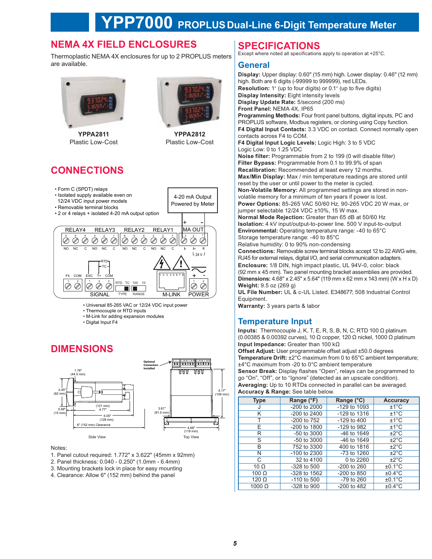# **NEMA 4X FIELD ENCLOSURES**

Thermoplastic NEMA 4X enclosures for up to 2 PROPLUS meters are available.



**YPPA2811** Plastic Low-Cost



**YPPA2812** Plastic Low-Cost

4-20 mA Output

Powered by Meter

# **CONNECTIONS**

- Form C (SPDT) relays
- · Isolated supply available even on
- 12/24 VDC input power models
- Removable terminal blocks
- 2 or 4 relays + isolated 4-20 mA output option



- Universal 85-265 VAC or 12/24 VDC input power
- Thermocouple or RTD inputs
- . M-Link for adding expansion modules
- · Digital Input F4

## **DIMENSIONS**



Notes:

- 1. Panel cutout required: 1.772" x 3.622" (45mm x 92mm)
- 2. Panel thickness: 0.040 0.250" (1.0mm 6.4mm)
- 3. Mounting brackets lock in place for easy mounting
- 4. Clearance: Allow 6" (152 mm) behind the panel

# **SPECIFICATIONS**

Except where noted all specifications apply to operation at +25°C.

#### General

Display: Upper display: 0.60" (15 mm) high. Lower display: 0.46" (12 mm) high. Both are 6 digits (-99999 to 999999), red LEDs. **Resolution:** 1° (up to four digits) or 0.1° (up to five digits) Display Intensity: Eight intensity levels Display Update Rate: 5/second (200 ms) Front Panel: NEMA 4X, IP65 Programming Methods: Four front panel buttons, digital inputs, PC and PROPLUS software, Modbus registers, or cloning using Copy function. F4 Digital Input Contacts: 3.3 VDC on contact. Connect normally open contacts across F4 to COM. F4 Digital Input Logic Levels: Logic High: 3 to 5 VDC Logic Low: 0 to 1.25 VDC Noise filter: Programmable from 2 to 199 (0 will disable filter) Filter Bypass: Programmable from 0.1 to 99.9% of span Recalibration: Recommended at least every 12 months. Max/Min Display: Max / min temperature readings are stored until reset by the user or until power to the meter is cycled. Non-Volatile Memory: All programmed settings are stored in nonvolatile memory for a minimum of ten years if power is lost. Power Options: 85-265 VAC 50/60 Hz, 90-265 VDC 20 W max, or jumper selectable 12/24 VDC ±10%, 15 W max. Normal Mode Rejection: Greater than 65 dB at 50/60 Hz Isolation: 4 kV input/output-to-power line. 500 V input-to-output Environmental: Operating temperature range: -40 to 65°C Storage temperature range: -40 to 85°C Relative humidity: 0 to 90% non-condensing Connections: Removable screw terminal blocks accept 12 to 22 AWG wire, RJ45 for external relays, digital I/O, and serial communication adapters. Enclosure: 1/8 DIN, high impact plastic, UL 94V-0, color: black (92 mm x 45 mm). Two panel mounting bracket assemblies are provided.

**Dimensions:**  $4.68'' \times 2.45'' \times 5.64''$  (119 mm x 62 mm x 143 mm) (W x H x D) Weight: 9.5 oz (269 g)

UL File Number: UL & c-UL Listed. E348677; 508 Industrial Control Fauinment.

Warranty: 3 years parts & labor

#### **Temperature Input**

**Inputs:** Thermocouple J, K, T, E, R, S, B, N, C; RTD 100  $\Omega$  platinum (0.00385 & 0.00392 curves), 10 Ω copper, 120 Ω nickel, 1000 Ω platinum Input Impedance: Greater than 100  $k\Omega$ 

Offset Adjust: User programmable offset adjust ±50.0 degrees Temperature Drift: ±2°C maximum from 0 to 65°C ambient temperature; ±4°C maximum from -20 to 0°C ambient temperature

Sensor Break: Display flashes "Open", relays can be programmed to go "On", "Off", or to "Ignore" (detected as an upscale condition). Averaging: Up to 10 RTDs connected in parallel can be averaged. Accuracy & Range: See table below.

| <b>Type</b>   | Range (°F)       | Range (°C)       | <b>Accuracy</b>   |
|---------------|------------------|------------------|-------------------|
| J             | $-200$ to $2000$ | $-129$ to $1093$ | $±1^{\circ}C$     |
| Κ             | $-200$ to $2400$ | $-129$ to $1316$ | $±1^{\circ}C$     |
|               | $-200$ to $752$  | $-129$ to $400$  | $±1^{\circ}$ C    |
| E             | $-200$ to 1800   | $-129$ to 982    | $±1^{\circ}$ C    |
| R             | $-50$ to 3000    | $-46$ to $1649$  | $\pm 2^{\circ}$ C |
| S             | $-50$ to 3000    | $-46$ to $1649$  | $\pm 2^{\circ}$ C |
| B             | 752 to 3300      | 400 to 1816      | $\pm 2^{\circ}$ C |
| N             | $-100$ to 2300   | -73 to 1260      | $\pm 2^{\circ}$ C |
| C             | 32 to 4100       | 0 to 2260        | $\pm 2^{\circ}$ C |
| 10 $\Omega$   | $-328$ to 500    | $-200$ to $260$  | $±0.1^{\circ}C$   |
| $100 \Omega$  | -328 to 1562     | -200 to 850      | $±0.4$ °C         |
| $120 \Omega$  | -110 to 500      | -79 to 260       | $±0.1^{\circ}$ C  |
| $1000 \Omega$ | $-328$ to 900    | -200 to 482      | $±0.4$ °C         |